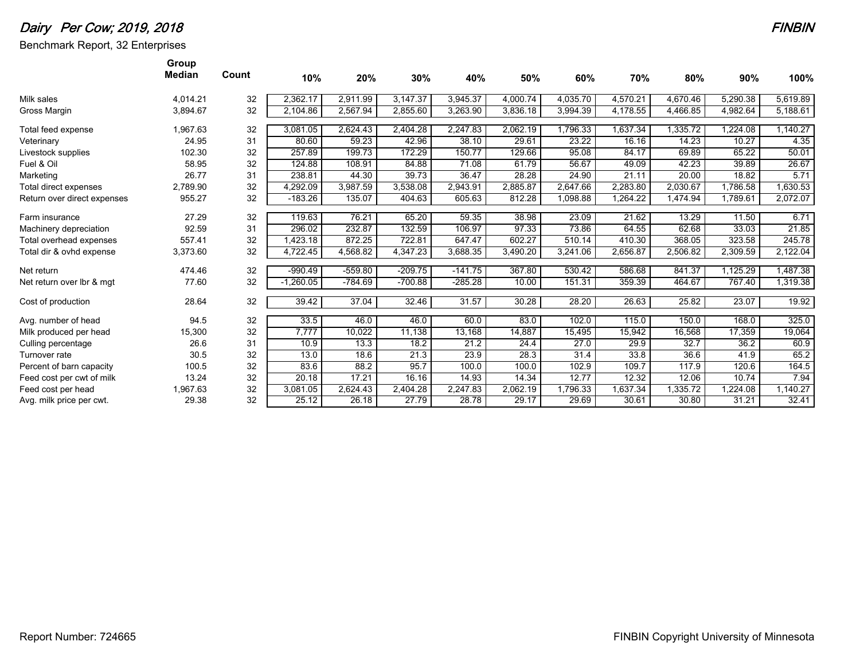## Dairy Per Cow; 2019, 2018

Benchmark Report, 32 Enterprises

|                             | Group<br><b>Median</b> |       |             |           |           |           |          |          |          |          |          |          |
|-----------------------------|------------------------|-------|-------------|-----------|-----------|-----------|----------|----------|----------|----------|----------|----------|
|                             |                        | Count | 10%         | 20%       | 30%       | 40%       | 50%      | 60%      | 70%      | 80%      | 90%      | 100%     |
| Milk sales                  | 4,014.21               | 32    | 2,362.17    | 2,911.99  | 3,147.37  | 3,945.37  | 4,000.74 | 4,035.70 | 4,570.21 | 4,670.46 | 5,290.38 | 5,619.89 |
| Gross Margin                | 3,894.67               | 32    | 2,104.86    | 2,567.94  | 2,855.60  | 3,263.90  | 3,836.18 | 3,994.39 | 4,178.55 | 4,466.85 | 4,982.64 | 5,188.61 |
| Total feed expense          | 1,967.63               | 32    | 3,081.05    | 2,624.43  | 2,404.28  | 2,247.83  | 2,062.19 | 1,796.33 | 1,637.34 | 1,335.72 | ,224.08  | 1,140.27 |
| Veterinary                  | 24.95                  | 31    | 80.60       | 59.23     | 42.96     | 38.10     | 29.61    | 23.22    | 16.16    | 14.23    | 10.27    | 4.35     |
| Livestock supplies          | 102.30                 | 32    | 257.89      | 199.73    | 172.29    | 150.77    | 129.66   | 95.08    | 84.17    | 69.89    | 65.22    | 50.01    |
| Fuel & Oil                  | 58.95                  | 32    | 124.88      | 108.91    | 84.88     | 71.08     | 61.79    | 56.67    | 49.09    | 42.23    | 39.89    | 26.67    |
| Marketing                   | 26.77                  | 31    | 238.81      | 44.30     | 39.73     | 36.47     | 28.28    | 24.90    | 21.11    | 20.00    | 18.82    | 5.71     |
| Total direct expenses       | 2,789.90               | 32    | 4,292.09    | 3.987.59  | 3,538.08  | 2,943.91  | 2,885.87 | 2,647.66 | 2.283.80 | 2,030.67 | 1.786.58 | 1,630.53 |
| Return over direct expenses | 955.27                 | 32    | $-183.26$   | 135.07    | 404.63    | 605.63    | 812.28   | 1,098.88 | 1,264.22 | 1,474.94 | 1,789.61 | 2,072.07 |
|                             |                        |       |             |           |           |           |          |          |          |          |          |          |
| Farm insurance              | 27.29                  | 32    | 119.63      | 76.21     | 65.20     | 59.35     | 38.98    | 23.09    | 21.62    | 13.29    | 11.50    | 6.71     |
| Machinery depreciation      | 92.59                  | 31    | 296.02      | 232.87    | 132.59    | 106.97    | 97.33    | 73.86    | 64.55    | 62.68    | 33.03    | 21.85    |
| Total overhead expenses     | 557.41                 | 32    | 1,423.18    | 872.25    | 722.81    | 647.47    | 602.27   | 510.14   | 410.30   | 368.05   | 323.58   | 245.78   |
| Total dir & ovhd expense    | 3,373.60               | 32    | 4.722.45    | 4,568.82  | 4,347.23  | 3,688.35  | 3,490.20 | 3,241.06 | 2,656.87 | 2,506.82 | 2,309.59 | 2,122.04 |
| Net return                  | 474.46                 | 32    | $-990.49$   | $-559.80$ | $-209.75$ | $-141.75$ | 367.80   | 530.42   | 586.68   | 841.37   | 1,125.29 | 1,487.38 |
| Net return over Ibr & mgt   | 77.60                  | 32    | $-1,260.05$ | $-784.69$ | $-700.88$ | $-285.28$ | 10.00    | 151.31   | 359.39   | 464.67   | 767.40   | 1,319.38 |
| Cost of production          | 28.64                  | 32    | 39.42       | 37.04     | 32.46     | 31.57     | 30.28    | 28.20    | 26.63    | 25.82    | 23.07    | 19.92    |
|                             |                        |       |             |           |           |           |          |          |          |          |          |          |
| Avg. number of head         | 94.5                   | 32    | 33.5        | 46.0      | 46.0      | 60.0      | 83.0     | 102.0    | 115.0    | 150.0    | 168.0    | 325.0    |
| Milk produced per head      | 15,300                 | 32    | 7.777       | 10,022    | 11,138    | 13,168    | 14,887   | 15,495   | 15,942   | 16,568   | 17,359   | 19,064   |
| Culling percentage          | 26.6                   | 31    | 10.9        | 13.3      | 18.2      | 21.2      | 24.4     | 27.0     | 29.9     | 32.7     | 36.2     | 60.9     |
| Turnover rate               | 30.5                   | 32    | 13.0        | 18.6      | 21.3      | 23.9      | 28.3     | 31.4     | 33.8     | 36.6     | 41.9     | 65.2     |
| Percent of barn capacity    | 100.5                  | 32    | 83.6        | 88.2      | 95.7      | 100.0     | 100.0    | 102.9    | 109.7    | 117.9    | 120.6    | 164.5    |
| Feed cost per cwt of milk   | 13.24                  | 32    | 20.18       | 17.21     | 16.16     | 14.93     | 14.34    | 12.77    | 12.32    | 12.06    | 10.74    | 7.94     |
| Feed cost per head          | 1,967.63               | 32    | 3,081.05    | 2,624.43  | 2,404.28  | 2,247.83  | 2,062.19 | 1,796.33 | 1,637.34 | 1,335.72 | .224.08  | 1,140.27 |
| Avg. milk price per cwt.    | 29.38                  | 32    | 25.12       | 26.18     | 27.79     | 28.78     | 29.17    | 29.69    | 30.61    | 30.80    | 31.21    | 32.41    |